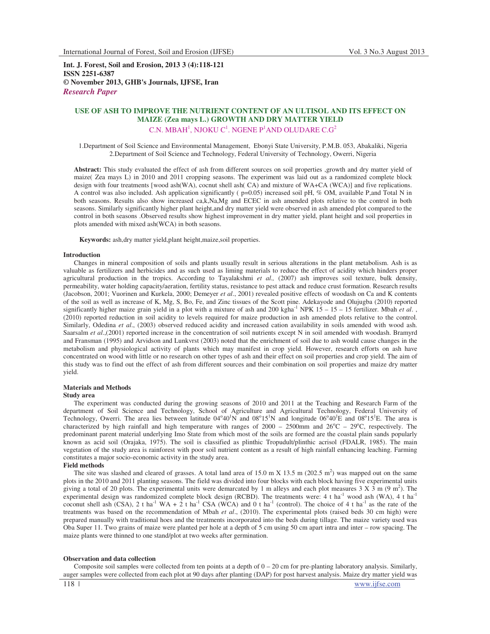**Int. J. Forest, Soil and Erosion, 2013 3 (4):118-121 ISSN 2251-6387 © November 2013, GHB's Journals, IJFSE, Iran** *Research Paper*

# **USE OF ASH TO IMPROVE THE NUTRIENT CONTENT OF AN ULTISOL AND ITS EFFECT ON MAIZE (Zea mays L.) GROWTH AND DRY MATTER YIELD**  C.N. MBAH<sup>1</sup>, NJOKU C<sup>1</sup>. NGENE P<sup>1</sup>AND OLUDARE C.G<sup>2</sup>

1.Department of Soil Science and Environmental Management, Ebonyi State University, P.M.B. 053, Abakaliki, Nigeria 2.Department of Soil Science and Technology, Federal University of Technology, Owerri, Nigeria

**Abstract:** This study evaluated the effect of ash from different sources on soil properties ,growth and dry matter yield of maize( Zea mays L) in 2010 and 2011 cropping seasons. The experiment was laid out as a randomized complete block design with four treatments [wood ash(WA), cocnut shell ash( CA) and mixture of WA+CA (WCA)] and five replications. A control was also included. Ash application significantly ( p=0.05) increased soil pH, % OM, available P,and Total N in both seasons. Results also show increased ca,k,Na,Mg and ECEC in ash amended plots relative to the control in both seasons. Similarly significantly higher plant height,and dry matter yield were observed in ash amended plot compared to the control in both seasons .Observed results show highest improvement in dry matter yield, plant height and soil properties in plots amended with mixed ash(WCA) in both seasons.

**Keywords:** ash,dry matter yield,plant height,maize,soil properties.

#### **Introduction**

Changes in mineral composition of soils and plants usually result in serious alterations in the plant metabolism. Ash is as valuable as fertilizers and herbicides and as such used as liming materials to reduce the effect of acidity which hinders proper agricultural production in the tropics. According to Tayalakshmi *et al.,* (2007) ash improves soil texture, bulk density, permeability, water holding capacity/aeration, fertility status, resistance to pest attack and reduce crust formation. Research results (Jacobson, 2001; Vuorinen and Kurkela, 2000; Demeyer *et al*., 2001) revealed positive effects of woodash on Ca and K contents of the soil as well as increase of K, Mg, S, Bo, Fe, and Zinc tissues of the Scott pine. Adekayode and Olujugba (2010) reported significantly higher maize grain yield in a plot with a mixture of ash and 200 kgha<sup>-1</sup> NPK  $15 - 15 - 15$  fertilizer. Mbah *et al.*, (2010) reported reduction in soil acidity to levels required for maize production in ash amended plots relative to the control. Similarly, Odedina *et al*., (2003) observed reduced acidity and increased cation availability in soils amended with wood ash. Saarsalm *et al*.,(2001) reported increase in the concentration of soil nutrients except N in soil amended with woodash. Bramyrd and Fransman (1995) and Arvidson and Lunkvrst (2003) noted that the enrichment of soil due to ash would cause changes in the metabolism and physiological activity of plants which may manifest in crop yield. However, research efforts on ash have concentrated on wood with little or no research on other types of ash and their effect on soil properties and crop yield. The aim of this study was to find out the effect of ash from different sources and their combination on soil properties and maize dry matter yield.

# **Materials and Methods**

## **Study area**

The experiment was conducted during the growing seasons of 2010 and 2011 at the Teaching and Research Farm of the department of Soil Science and Technology, School of Agriculture and Agricultural Technology, Federal University of Technology, Owerri. The area lies between latitude  $04^{\circ}40^1$ N and  $08^{\circ}15^1$ N and longitude  $06^{\circ}40^1$ E and  $08^{\circ}15^1$ E. The area is characterized by high rainfall and high temperature with ranges of  $2000 - 2500$ mm and  $26^{\circ}C - 29^{\circ}C$ , respectively. The predominant parent material underlying Imo State from which most of the soils are formed are the coastal plain sands popularly known as acid soil (Orajaka, 1975). The soil is classified as plinthic Tropudult/plinthic acrisol (FDALR, 1985). The main vegetation of the study area is rainforest with poor soil nutrient content as a result of high rainfall enhancing leaching. Farming constitutes a major socio-economic activity in the study area.

## **Field methods**

The site was slashed and cleared of grasses. A total land area of  $15.0$  m X  $13.5$  m ( $202.5$  m<sup>2</sup>) was mapped out on the same plots in the 2010 and 2011 planting seasons. The field was divided into four blocks with each block having five experimental units giving a total of 20 plots. The experimental units were demarcated by 1 m alleys and each plot measures  $3 \times 3 \text{ m}$  (9 m<sup>2</sup>). The experimental design was randomized complete block design (RCBD). The treatments were: 4 t ha<sup>-1</sup> wood ash (WA), 4 t ha<sup>-1</sup> coconut shell ash (CSA), 2 t ha<sup>-1</sup> WA + 2 t ha<sup>-1</sup> CSA (WCA) and 0 t ha<sup>-1</sup> (control). The choice of 4 t ha<sup>-1</sup> as the rate of the treatments was based on the recommendation of Mbah *et al*., (2010). The experimental plots (raised beds 30 cm high) were prepared manually with traditional hoes and the treatments incorporated into the beds during tillage. The maize variety used was Oba Super 11. Two grains of maize were planted per hole at a depth of 5 cm using 50 cm apart intra and inter – row spacing. The maize plants were thinned to one stand/plot at two weeks after germination.

## **Observation and data collection**

Composite soil samples were collected from ten points at a depth of  $0 - 20$  cm for pre-planting laboratory analysis. Similarly, auger samples were collected from each plot at 90 days after planting (DAP) for post harvest analysis. Maize dry matter yield was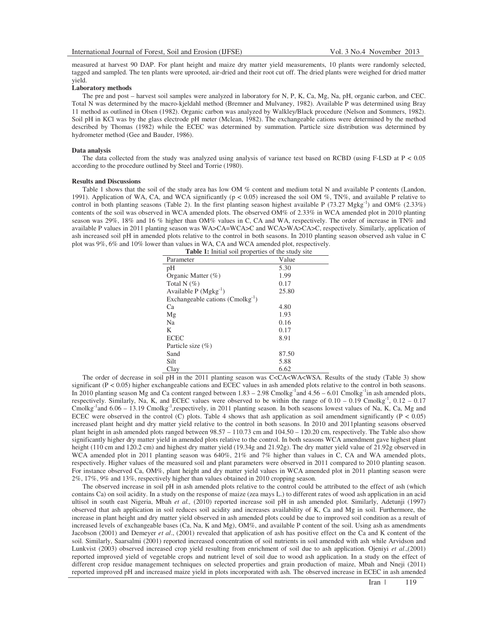measured at harvest 90 DAP. For plant height and maize dry matter yield measurements, 10 plants were randomly selected, tagged and sampled. The ten plants were uprooted, air-dried and their root cut off. The dried plants were weighed for dried matter yield.

#### **Laboratory methods**

The pre and post – harvest soil samples were analyzed in laboratory for N, P, K, Ca, Mg, Na, pH, organic carbon, and CEC. Total N was determined by the macro-kjeldahl method (Bremner and Mulvaney, 1982). Available P was determined using Bray 11 method as outlined in Olsen (1982). Organic carbon was analyzed by Walkley/Black procedure (Nelson and Sommers, 1982). Soil pH in KCl was by the glass electrode pH meter (Mclean, 1982). The exchangeable cations were determined by the method described by Thomas (1982) while the ECEC was determined by summation. Particle size distribution was determined by hydrometer method (Gee and Bauder, 1986).

#### **Data analysis**

The data collected from the study was analyzed using analysis of variance test based on RCBD (using F-LSD at  $P < 0.05$ ) according to the procedure outlined by Steel and Torrie (1980).

## **Results and Discussions**

Table 1 shows that the soil of the study area has low OM % content and medium total N and available P contents (Landon, 1991). Application of WA, CA, and WCA significantly ( $p < 0.05$ ) increased the soil OM %, TN%, and available P relative to control in both planting seasons (Table 2). In the first planting season highest available P (73.27 Mgkg<sup>-1</sup>) and OM% (2.33%) contents of the soil was observed in WCA amended plots. The observed OM% of 2.33% in WCA amended plot in 2010 planting season was 29%, 18% and 16% higher than OM% values in C, CA and WA, respectively. The order of increase in TN% and available P values in 2011 planting season was WA>CA=WCA>C and WCA>WA>CA>C, respectively. Similarly, application of ash increased soil pH in amended plots relative to the control in both seasons. In 2010 planting season observed ash value in C plot was 9%, 6% and 10% lower than values in WA, CA and WCA amended plot, respectively.

| Table 1: Initial soil properties of the study site |       |  |  |  |  |
|----------------------------------------------------|-------|--|--|--|--|
| Parameter                                          | Value |  |  |  |  |
| pH                                                 | 5.30  |  |  |  |  |
| Organic Matter $(\% )$                             | 1.99  |  |  |  |  |
| Total N $(\%)$                                     | 0.17  |  |  |  |  |
| Available $P(Mgkg^{-1})$                           | 25.80 |  |  |  |  |
| Exchangeable cations $(Conolkg^{-1})$              |       |  |  |  |  |
| Ca                                                 | 4.80  |  |  |  |  |
| Mg                                                 | 1.93  |  |  |  |  |
| Na                                                 | 0.16  |  |  |  |  |
| K                                                  | 0.17  |  |  |  |  |
| <b>ECEC</b>                                        | 8.91  |  |  |  |  |
| Particle size $(\%)$                               |       |  |  |  |  |
| Sand                                               | 87.50 |  |  |  |  |
| Silt                                               | 5.88  |  |  |  |  |
| Clay                                               | 6.62  |  |  |  |  |

The order of decrease in soil pH in the 2011 planting season was C<CA<WA<WSA. Results of the study (Table 3) show significant ( $P < 0.05$ ) higher exchangeable cations and ECEC values in ash amended plots relative to the control in both seasons. In 2010 planting season Mg and Ca content ranged between  $1.83 - 2.98$  Cmolkg<sup>-1</sup>and  $4.56 - 6.01$  Cmolkg<sup>-1</sup>in ash amended plots, respectively. Similarly, Na, K, and ECEC values were observed to be within the range of  $0.10 - 0.19$  Cmolkg<sup>-1</sup>,  $0.12 - 0.17$ Cmolkg<sup>-1</sup>and  $6.06 - 13.19$  Cmolkg<sup>-1</sup>,respectively, in 2011 planting season. In both seasons lowest values of Na, K, Ca, Mg and ECEC were observed in the control (C) plots. Table 4 shows that ash application as soil amendment significantly ( $P < 0.05$ ) increased plant height and dry matter yield relative to the control in both seasons. In 2010 and 2011planting seasons observed plant height in ash amended plots ranged between 98.57 – 110.73 cm and 104.50 – 120.20 cm, respectively. The Table also show significantly higher dry matter yield in amended plots relative to the control. In both seasons WCA amendment gave highest plant height (110 cm and 120.2 cm) and highest dry matter yield (19.34g and 21.92g). The dry matter yield value of 21.92g observed in WCA amended plot in 2011 planting season was 640%, 21% and 7% higher than values in C, CA and WA amended plots, respectively. Higher values of the measured soil and plant parameters were observed in 2011 compared to 2010 planting season. For instance observed Ca, OM%, plant height and dry matter yield values in WCA amended plot in 2011 planting season were 2%, 17%, 9% and 13%, respectively higher than values obtained in 2010 cropping season.

The observed increase in soil pH in ash amended plots relative to the control could be attributed to the effect of ash (which contains Ca) on soil acidity. In a study on the response of maize (zea mays L.) to different rates of wood ash application in an acid ultisol in south east Nigeria, Mbah *et al.,* (2010) reported increase soil pH in ash amended plot. Similarly, Adetunji (1997) observed that ash application in soil reduces soil acidity and increases availability of K, Ca and Mg in soil. Furthermore, the increase in plant height and dry matter yield observed in ash amended plots could be due to improved soil condition as a result of increased levels of exchangeable bases (Ca, Na, K and Mg), OM%, and available P content of the soil. Using ash as amendments Jacobson (2001) and Demeyer *et al*., (2001) revealed that application of ash has positive effect on the Ca and K content of the soil. Similarly, Saarsalmi (2001) reported increased concentration of soil nutrients in soil amended with ash while Arvidson and Lunkvist (2003) observed increased crop yield resulting from enrichment of soil due to ash application. Ojeniyi *et al*.,(2001) reported improved yield of vegetable crops and nutrient level of soil due to wood ash application. In a study on the effect of different crop residue management techniques on selected properties and grain production of maize, Mbah and Nneji (2011) reported improved pH and increased maize yield in plots incorporated with ash. The observed increase in ECEC in ash amended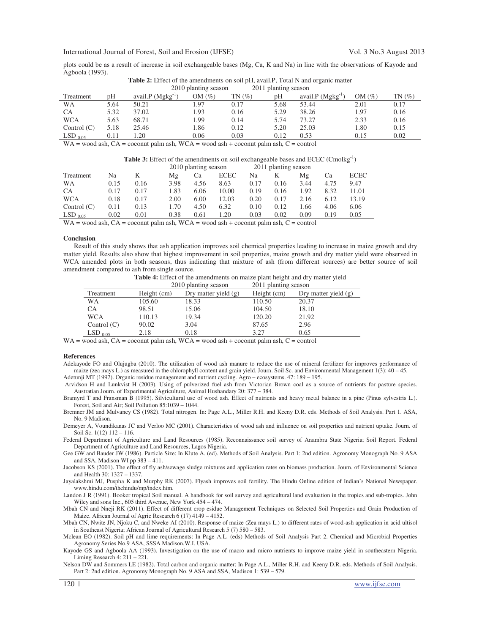plots could be as a result of increase in soil exchangeable bases (Mg, Ca, K and Na) in line with the observations of Kayode and Agboola (1993).

| <b>Table 2:</b> Effect of the amendments on soil pH, avail. P, Total N and organic matter |                      |
|-------------------------------------------------------------------------------------------|----------------------|
| 2010 planting season                                                                      | 2011 planting season |

| <b>2010 planting season</b><br><b>2011 planting season</b>                                   |      |                       |           |       |      |               |           |      |
|----------------------------------------------------------------------------------------------|------|-----------------------|-----------|-------|------|---------------|-----------|------|
| Treatment                                                                                    | pH   | avail. $P(Mgkg^{-1})$ | OM $(\%)$ | TN(%) | pН   | avail.P (Mgkg | OM $(\%)$ | TN(% |
| WΑ                                                                                           | 5.64 | 50.21                 | .97       | 0.17  | 5.68 | 53.44         | 2.01      | 0.17 |
| СA                                                                                           | 5.32 | 37.02                 | .93       | 0.16  | 5.29 | 38.26         | 1.97      | 0.16 |
| <b>WCA</b>                                                                                   | 5.63 | 68.71                 | .99       | 0.14  | 5.74 | 73.27         | 2.33      | 0.16 |
| Control $(C)$                                                                                | 5.18 | 25.46                 | l.86      | 0.12  | 5.20 | 25.03         | 1.80      | 0.15 |
| $LSD_{0.05}$                                                                                 | 0.11 | 1.20                  | 0.06      | 0.03  | 0.12 | 0.53          | 0.15      | 0.02 |
| $WA = wood$ ash, $CA = cocount$ palm ash, $WCA = wood$ ash + coconut palm ash, $C = control$ |      |                       |           |       |      |               |           |      |

**Table 3:** Effect of the amendments on soil exchangeable bases and ECEC (Cmolkg<sup>-1</sup>)

|               |      |      | 2010 planting season |      | 2011 planting season |      |      |      |      |             |
|---------------|------|------|----------------------|------|----------------------|------|------|------|------|-------------|
| Treatment     | Na   |      | Mg                   | Cа   | <b>ECEC</b>          | Na   |      | Μg   | Cа   | <b>ECEC</b> |
| <b>WA</b>     | 0.15 | 0.16 | 3.98                 | 4.56 | 8.63                 | 0.17 | 0.16 | 3.44 | 4.75 | 9.47        |
| CA            | 0.17 | 0.17 | 1.83                 | 6.06 | 10.00                | 0.19 | 0.16 | 1.92 | 8.32 | 11.01       |
| <b>WCA</b>    | 0.18 | 0.17 | 2.00                 | 6.00 | 12.03                | 0.20 | 0.17 | 2.16 | 6.12 | 13.19       |
| Control $(C)$ | 0.11 | 0.13 | l.70                 | 4.50 | 6.32                 | 0.10 | 0.12 | .66  | 4.06 | 6.06        |

 $LSD_{0.05}$  0.02 0.01 0.38 0.61 1.20 0.03 0.02 0.09 0.19 0.05

**Conclusion** 

Result of this study shows that ash application improves soil chemical properties leading to increase in maize growth and dry matter yield. Results also show that highest improvement in soil properties, maize growth and dry matter yield were observed in WCA amended plots in both seasons, thus indicating that mixture of ash (from different sources) are better source of soil amendment compared to ash from single source.

**Table 4:** Effect of the amendments on maize plant height and dry matter yield<br>2011 planting season

|               |             | 2010 planting season   | 2011 planting season |                      |
|---------------|-------------|------------------------|----------------------|----------------------|
| Treatment     | Height (cm) | Dry matter yield $(g)$ | Height (cm)          | Dry matter yield (g) |
| WA            | 105.60      | 18.33                  | 110.50               | 20.37                |
| СA            | 98.51       | 15.06                  | 104.50               | 18.10                |
| <b>WCA</b>    | 110.13      | 19.34                  | 120.20               | 21.92                |
| Control $(C)$ | 90.02       | 3.04                   | 87.65                | 2.96                 |
| $LSD_{0.05}$  | 2.18        | 0.18                   | 3.27                 | 0.65                 |

 $WA = wood$  ash,  $CA = cocount$  palm ash,  $WCA = wood$  ash + coconut palm ash,  $C = control$ 

 $WA = wood$  ash,  $CA = coc$ onut palm ash,  $WCA = wood$  ash + coconut palm ash,  $C = control$ 

#### **References**

Adekayode FO and Olujugba (2010). The utilization of wood ash manure to reduce the use of mineral fertilizer for improves performance of maize (zea mays L.) as measured in the chlorophyll content and grain yield. Journ. Soil Sc. and Environmental Management 1(3): 40 – 45. Adetunji MT (1997). Organic residue management and nutrient cycling. Agro – ecosystems. 47: 189 – 195.

 Arvidson H and Lunkvist H (2003). Using of pulverized fuel ash from Victorian Brown coal as a source of nutrients for pasture species. Austratian Journ. of Experimental Agriculture, Animal Hushandary 20: 377 – 384.

Bramyrd T and Fransman B (1995). Silvicultural use of wood ash. Effect of nutrients and heavy metal balance in a pine (Pinus sylvestris L.). Forest, Soil and Air; Soil Pollution 85:1039 – 1044.

Bremner JM and Mulvaney CS (1982). Total nitrogen. In: Page A.L., Miller R.H. and Keeny D.R. eds. Methods of Soil Analysis. Part 1. ASA, No. 9 Madison.

Demeyer A, Voundikanas JC and Verloo MC (2001). Characteristics of wood ash and influence on soil properties and nutrient uptake. Journ. of Soil Sc. 1(12) 112 – 116.

Federal Department of Agriculture and Land Resources (1985). Reconnaissance soil survey of Anambra State Nigeria; Soil Report. Federal Department of Agriculture and Land Resources, Lagos Nigeria.

Gee GW and Bauder JW (1986). Particle Size: In Klute A. (ed). Methods of Soil Analysis. Part 1: 2nd edition. Agronomy Monograph No. 9 ASA and SSA, Madison WI pp 383 – 411.

Jacobson KS (2001). The effect of fly ash/sewage sludge mixtures and application rates on biomass production. Journ. of Environmental Science and Health 30: 1327 – 1337.

Jayalakshmi MJ, Puspha K and Murphy RK (2007). Flyash improves soil fertility. The Hindu Online edition of Indian's National Newspaper. www.hindu.com/thehindu/mp/index.htm.

Landon J R (1991). Booker tropical Soil manual. A handbook for soil survey and agricultural land evaluation in the tropics and sub-tropics. John Wiley and sons Inc., 605 third Avenue, New York 454 – 474.

Mbah CN and Nneji RK (2011). Effect of different crop esidue Management Techniques on Selected Soil Properties and Grain Production of Maize. African Journal of Agric Research 6 (17) 4149 – 4152.

Mbah CN, Nwite JN, Njoku C, and Nweke AI (2010). Response of maize (Zea mays L.) to different rates of wood-ash application in acid ultisol in Southeast Nigeria; African Journal of Agricultural Research 5 (7) 580 – 583.

Mclean EO (1982). Soil pH and lime requirements: In Page A.L. (eds) Methods of Soil Analysis Part 2. Chemical and Microbial Properties Agronomy Series No.9 ASA, SSSA Madison,W.I. USA.

Kayode GS and Agboola AA (1993). Investigation on the use of macro and micro nutrients to improve maize yield in southeastern Nigeria. Liming Research 4: 211 – 221.

Nelson DW and Sommers LE (1982). Total carbon and organic matter: In Page A.L., Miller R.H. and Keeny D.R. eds. Methods of Soil Analysis. Part 2: 2nd edition. Agronomy Monograph No. 9 ASA and SSA, Madison 1: 539 – 579.